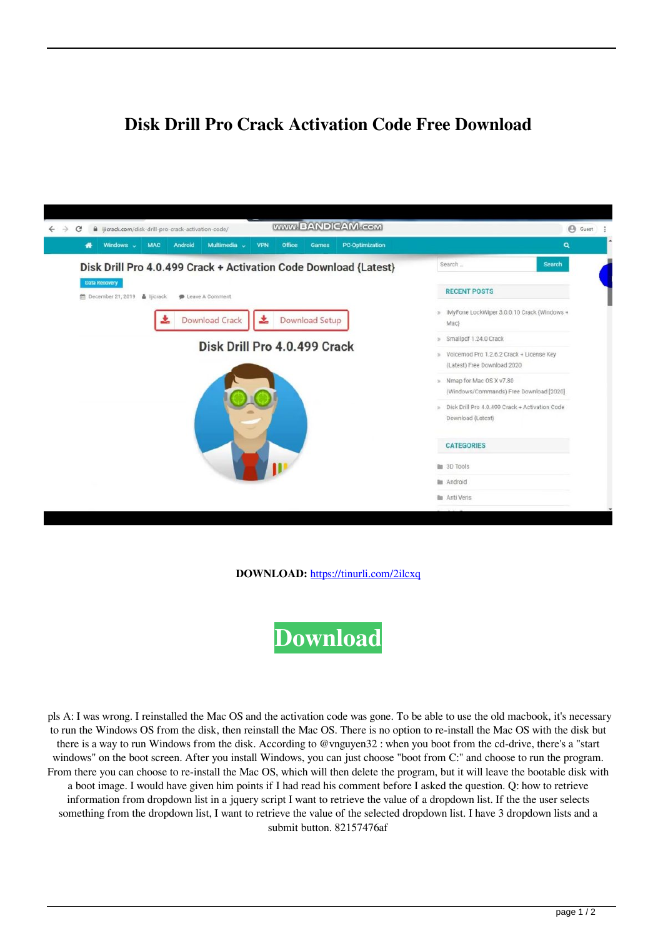## **Disk Drill Pro Crack Activation Code Free Download**



**DOWNLOAD:** <https://tinurli.com/2ilcxq>



 pls A: I was wrong. I reinstalled the Mac OS and the activation code was gone. To be able to use the old macbook, it's necessary to run the Windows OS from the disk, then reinstall the Mac OS. There is no option to re-install the Mac OS with the disk but there is a way to run Windows from the disk. According to @vnguyen32 : when you boot from the cd-drive, there's a "start windows" on the boot screen. After you install Windows, you can just choose "boot from C:" and choose to run the program. From there you can choose to re-install the Mac OS, which will then delete the program, but it will leave the bootable disk with a boot image. I would have given him points if I had read his comment before I asked the question. Q: how to retrieve information from dropdown list in a jquery script I want to retrieve the value of a dropdown list. If the the user selects something from the dropdown list, I want to retrieve the value of the selected dropdown list. I have 3 dropdown lists and a submit button. 82157476af